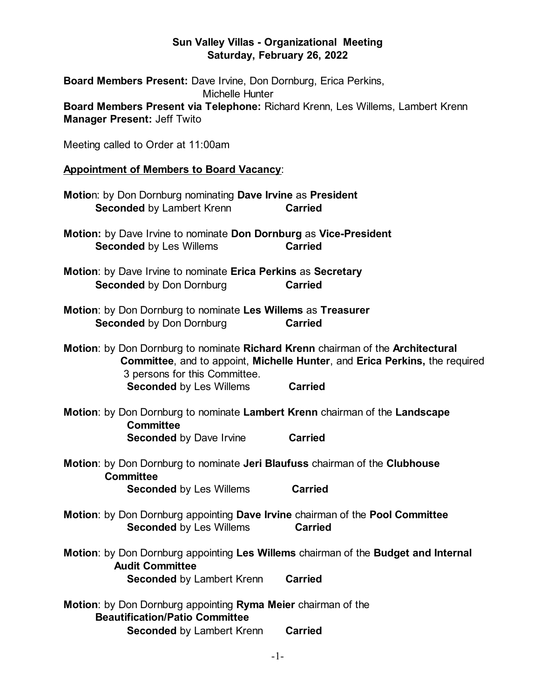## **Sun Valley Villas - Organizational Meeting Saturday, February 26, 2022**

| Board Members Present: Dave Irvine, Don Dornburg, Erica Perkins,<br><b>Michelle Hunter</b>                                                                                                      |                |
|-------------------------------------------------------------------------------------------------------------------------------------------------------------------------------------------------|----------------|
| Board Members Present via Telephone: Richard Krenn, Les Willems, Lambert Krenn<br><b>Manager Present: Jeff Twito</b>                                                                            |                |
| Meeting called to Order at 11:00am                                                                                                                                                              |                |
| <b>Appointment of Members to Board Vacancy:</b>                                                                                                                                                 |                |
| Motion: by Don Dornburg nominating Dave Irvine as President<br><b>Seconded by Lambert Krenn</b>                                                                                                 | <b>Carried</b> |
| Motion: by Dave Irvine to nominate Don Dornburg as Vice-President<br><b>Seconded by Les Willems</b>                                                                                             | <b>Carried</b> |
| Motion: by Dave Irvine to nominate Erica Perkins as Secretary<br><b>Seconded by Don Dornburg</b>                                                                                                | <b>Carried</b> |
| Motion: by Don Dornburg to nominate Les Willems as Treasurer<br><b>Seconded by Don Dornburg</b>                                                                                                 | <b>Carried</b> |
| Motion: by Don Dornburg to nominate Richard Krenn chairman of the Architectural<br>Committee, and to appoint, Michelle Hunter, and Erica Perkins, the required<br>3 persons for this Committee. |                |
| <b>Seconded by Les Willems Carried</b>                                                                                                                                                          |                |
| Motion: by Don Dornburg to nominate Lambert Krenn chairman of the Landscape<br><b>Committee</b>                                                                                                 |                |
| <b>Seconded by Dave Irvine</b>                                                                                                                                                                  | <b>Carried</b> |
| Motion: by Don Dornburg to nominate Jeri Blaufuss chairman of the Clubhouse<br><b>Committee</b>                                                                                                 |                |
| <b>Seconded by Les Willems</b>                                                                                                                                                                  | <b>Carried</b> |
| Motion: by Don Dornburg appointing Dave Irvine chairman of the Pool Committee<br><b>Seconded by Les Willems</b>                                                                                 | <b>Carried</b> |
| Motion: by Don Dornburg appointing Les Willems chairman of the Budget and Internal<br><b>Audit Committee</b>                                                                                    |                |
| <b>Seconded by Lambert Krenn</b>                                                                                                                                                                | <b>Carried</b> |
| Motion: by Don Dornburg appointing Ryma Meier chairman of the<br><b>Beautification/Patio Committee</b>                                                                                          |                |
| <b>Seconded by Lambert Krenn</b>                                                                                                                                                                | <b>Carried</b> |